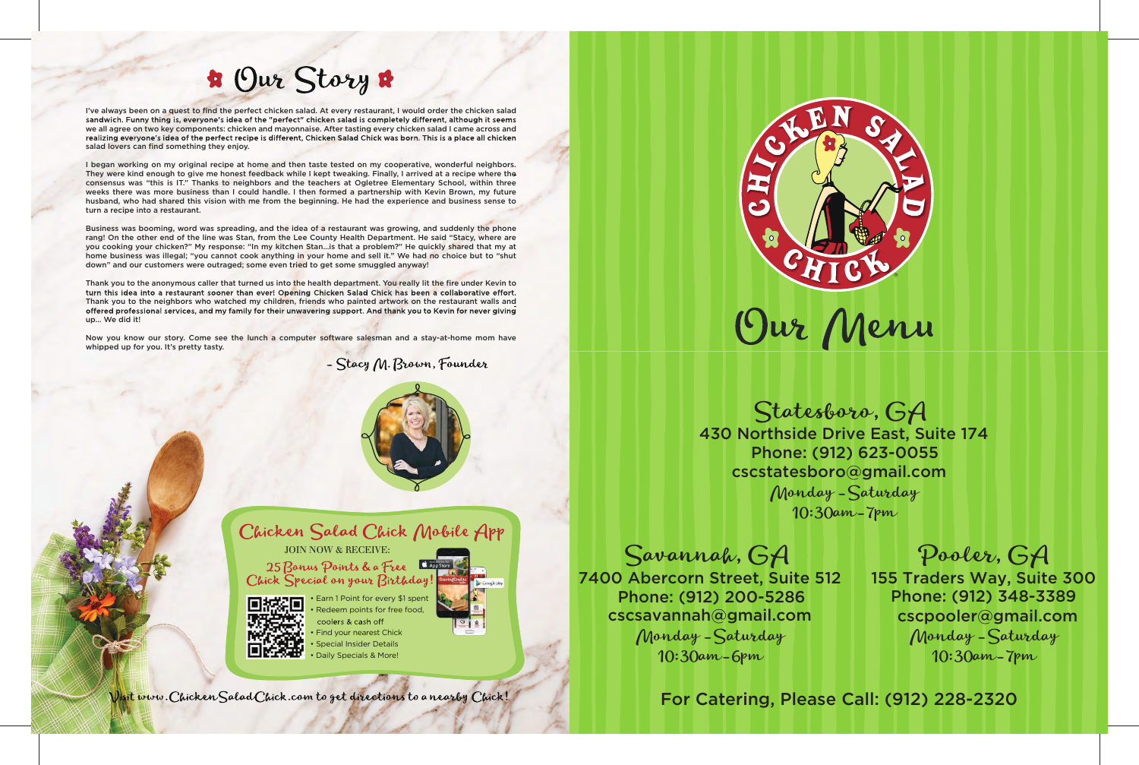

Chicken Salad Chick Mobile App JOIN NOW & RECEIVE: 25 Bonus Points & a Free Chick Special on your Birthday! • Earn 1 Point for every \$1 spent



Redeem points for free food, coolers & cash off • Find your nearest Chick • Special Insider Details • Daily Specials & More!



# **\*** Our Story

I've always been on a quest to find the perfect chicken salad. At every restaurant, I would order the chicken salad<br>sandwich. Funny thing is, everyone's idea of the "perfect" chicken salad is completely different, although we all agree on two key components: chicken and mayonnaise. After tasting every chicken salad I came across and<br>realizing everyone's idea of the perfect recipe is different, Chicken Salad Chick was born. This is a place al salad lovers can find something they enjoy.

I began working on my original recipe at home and then taste tested on my cooperative, wonderful neighbors. They were kind enough to give me honest feedback while I kept tweaking. Finally, I arrived at a recipe where the consensus was "this is IT." Thanks to neighbors and the teachers at Ogletree Elementary School, within three weeks there was more business than I could handle. I then formed a partnership with Kevin Brown, my future husband, who had shared this vision with me from the beginning. He had the experience and business sense to turn a recipe into a restaurant.

Thank you to the anonymous caller that turned us into the health department. You really lit the fire under Kevin to<br>turn this idea into a restaurant sooner than ever! Opening Chicken Salad Chick has been a collaborative ef Thank you to the neighbors who watched my children, friends who painted artwork on the restaurant walls and offered professional services, and my family for their unwavering support. And thank you to Kevin for never giving up… We did it!

> $\mathbf{I}$ 155 Traders Way, Suite 300 Phone: (912) 348-3389 cscpooler@gmail.com Monday -Saturday 10:30am-7pm

Business was booming, word was spreading, and the idea of a restaurant was growing, and suddenly the phone rang! On the other end of the line was Stan, from the Lee County Health Department. He said "Stacy, where are you cooking your chicken?" My response: "In my kitchen Stan…is that a problem?" He quickly shared that my at home business was illegal; "you cannot cook anything in your home and sell it." We had no choice but to "shut down" and our customers were outraged; some even tried to get some smuggled anyway!

Now you know our story. Come see the lunch a computer software salesman and a stay-at-home mom have whipped up for you. It's pretty tasty.

- Stacy M. Brown, Founder



### 430 Northside Drive East, Suite 174 Phone: (912) 623-0055 cscstatesboro@gmail.com Statesboro, GA Monday -Saturday 10:30am-7pm

7400 Abercorn Street, Suite 512 Savannah, GA Phone: (912) 200-5286 cscsavannah@gmail.com Monday -Saturday 10:30am-6pm

### Pooler, GA

For Catering, Please Call: (912) 228-2320